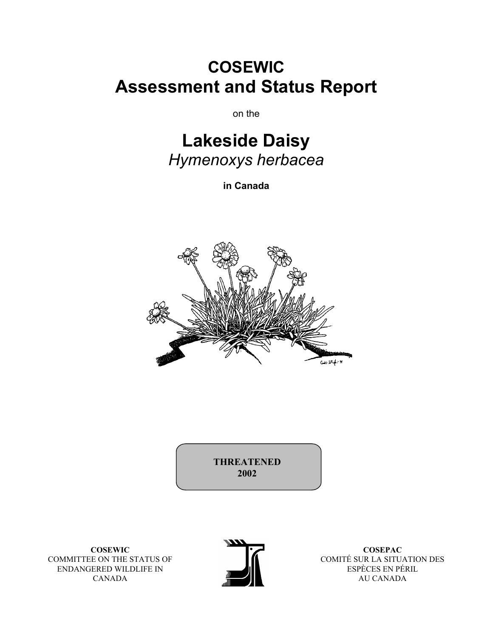# **COSEWIC Assessment and Status Report**

on the

# **Lakeside Daisy**  *Hymenoxys herbacea*

**in Canada** 



**THREATENED 2002** 

**COSEWIC**  COMMITTEE ON THE STATUS OF ENDANGERED WILDLIFE IN CANADA



**COSEPAC**  COMITÉ SUR LA SITUATION DES ESPÈCES EN PÉRIL AU CANADA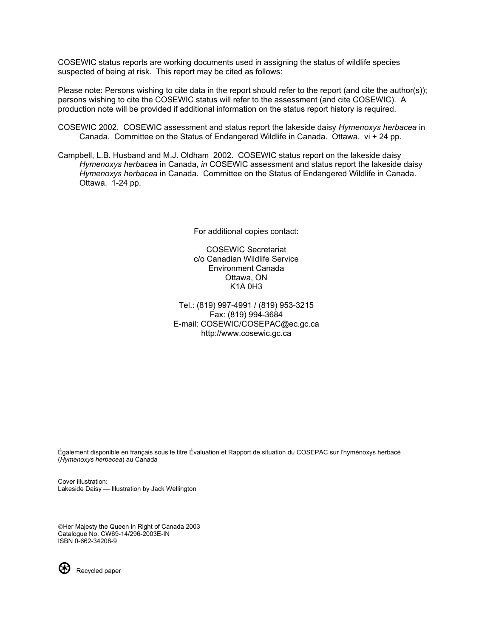COSEWIC status reports are working documents used in assigning the status of wildlife species suspected of being at risk. This report may be cited as follows:

Please note: Persons wishing to cite data in the report should refer to the report (and cite the author(s)); persons wishing to cite the COSEWIC status will refer to the assessment (and cite COSEWIC). A production note will be provided if additional information on the status report history is required.

- COSEWIC 2002. COSEWIC assessment and status report the lakeside daisy *Hymenoxys herbacea* in Canada. Committee on the Status of Endangered Wildlife in Canada. Ottawa. vi + 24 pp.
- Campbell, L.B. Husband and M.J. Oldham 2002. COSEWIC status report on the lakeside daisy *Hymenoxys herbacea* in Canada, *in* COSEWIC assessment and status report the lakeside daisy *Hymenoxys herbacea* in Canada. Committee on the Status of Endangered Wildlife in Canada. Ottawa. 1-24 pp.

For additional copies contact:

COSEWIC Secretariat c/o Canadian Wildlife Service Environment Canada Ottawa, ON K1A 0H3

Tel.: (819) 997-4991 / (819) 953-3215 Fax: (819) 994-3684 E-mail: COSEWIC/COSEPAC@ec.gc.ca http://www.cosewic.gc.ca

Également disponible en français sous le titre Évaluation et Rapport de situation du COSEPAC sur l'hyménoxys herbacé (*Hymenoxys herbacea*) au Canada

Cover illustration: Lakeside Daisy — Illustration by Jack Wellington

Her Majesty the Queen in Right of Canada 2003 Catalogue No. CW69-14/296-2003E-IN ISBN 0-662-34208-9



Recycled paper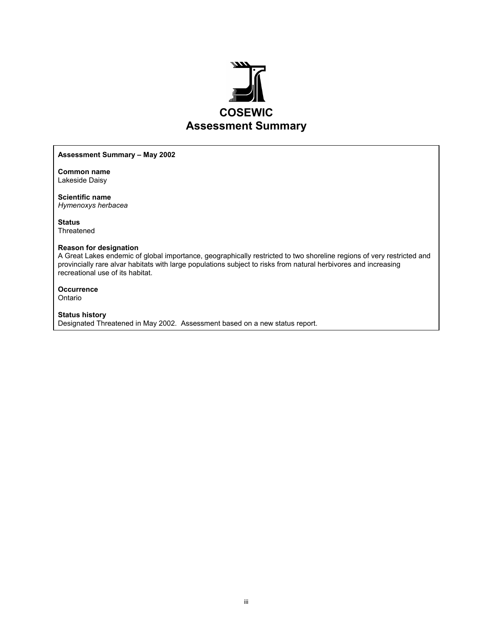

#### **Assessment Summary – May 2002**

**Common name**  Lakeside Daisy

**Scientific name**  *Hymenoxys herbacea* 

**Status**  Threatened

#### **Reason for designation**

A Great Lakes endemic of global importance, geographically restricted to two shoreline regions of very restricted and provincially rare alvar habitats with large populations subject to risks from natural herbivores and increasing recreational use of its habitat.

**Occurrence**  Ontario

#### **Status history**

Designated Threatened in May 2002. Assessment based on a new status report.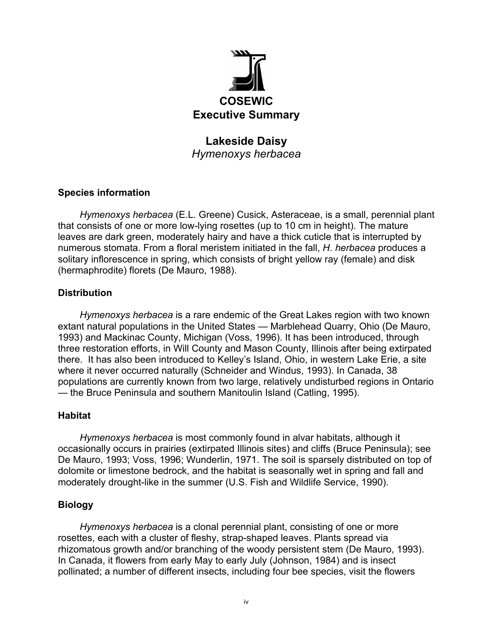

# **Lakeside Daisy**  *Hymenoxys herbacea*

# **Species information**

*Hymenoxys herbacea* (E.L. Greene) Cusick, Asteraceae, is a small, perennial plant that consists of one or more low-lying rosettes (up to 10 cm in height). The mature leaves are dark green, moderately hairy and have a thick cuticle that is interrupted by numerous stomata. From a floral meristem initiated in the fall, *H*. *herbacea* produces a solitary inflorescence in spring, which consists of bright yellow ray (female) and disk (hermaphrodite) florets (De Mauro, 1988).

# **Distribution**

*Hymenoxys herbacea* is a rare endemic of the Great Lakes region with two known extant natural populations in the United States — Marblehead Quarry, Ohio (De Mauro, 1993) and Mackinac County, Michigan (Voss, 1996). It has been introduced, through three restoration efforts, in Will County and Mason County, Illinois after being extirpated there. It has also been introduced to Kelley's Island, Ohio, in western Lake Erie, a site where it never occurred naturally (Schneider and Windus, 1993). In Canada, 38 populations are currently known from two large, relatively undisturbed regions in Ontario — the Bruce Peninsula and southern Manitoulin Island (Catling, 1995).

# **Habitat**

*Hymenoxys herbacea* is most commonly found in alvar habitats, although it occasionally occurs in prairies (extirpated Illinois sites) and cliffs (Bruce Peninsula); see De Mauro, 1993; Voss, 1996; Wunderlin, 1971. The soil is sparsely distributed on top of dolomite or limestone bedrock, and the habitat is seasonally wet in spring and fall and moderately drought-like in the summer (U.S. Fish and Wildlife Service, 1990).

# **Biology**

*Hymenoxys herbacea* is a clonal perennial plant, consisting of one or more rosettes, each with a cluster of fleshy, strap-shaped leaves. Plants spread via rhizomatous growth and/or branching of the woody persistent stem (De Mauro, 1993). In Canada, it flowers from early May to early July (Johnson, 1984) and is insect pollinated; a number of different insects, including four bee species, visit the flowers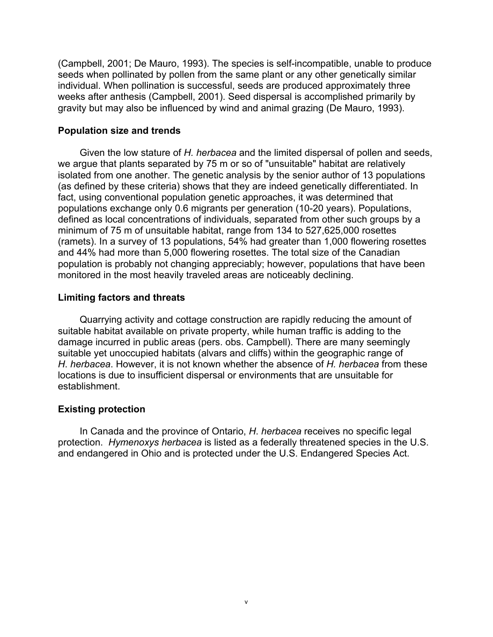(Campbell, 2001; De Mauro, 1993). The species is self-incompatible, unable to produce seeds when pollinated by pollen from the same plant or any other genetically similar individual. When pollination is successful, seeds are produced approximately three weeks after anthesis (Campbell, 2001). Seed dispersal is accomplished primarily by gravity but may also be influenced by wind and animal grazing (De Mauro, 1993).

#### **Population size and trends**

Given the low stature of *H. herbacea* and the limited dispersal of pollen and seeds, we argue that plants separated by 75 m or so of "unsuitable" habitat are relatively isolated from one another. The genetic analysis by the senior author of 13 populations (as defined by these criteria) shows that they are indeed genetically differentiated. In fact, using conventional population genetic approaches, it was determined that populations exchange only 0.6 migrants per generation (10-20 years). Populations, defined as local concentrations of individuals, separated from other such groups by a minimum of 75 m of unsuitable habitat, range from 134 to 527,625,000 rosettes (ramets). In a survey of 13 populations, 54% had greater than 1,000 flowering rosettes and 44% had more than 5,000 flowering rosettes. The total size of the Canadian population is probably not changing appreciably; however, populations that have been monitored in the most heavily traveled areas are noticeably declining.

# **Limiting factors and threats**

Quarrying activity and cottage construction are rapidly reducing the amount of suitable habitat available on private property, while human traffic is adding to the damage incurred in public areas (pers. obs. Campbell). There are many seemingly suitable yet unoccupied habitats (alvars and cliffs) within the geographic range of *H*. *herbacea*. However, it is not known whether the absence of *H. herbacea* from these locations is due to insufficient dispersal or environments that are unsuitable for establishment.

#### **Existing protection**

In Canada and the province of Ontario, *H*. *herbacea* receives no specific legal protection. *Hymenoxys herbacea* is listed as a federally threatened species in the U.S. and endangered in Ohio and is protected under the U.S. Endangered Species Act.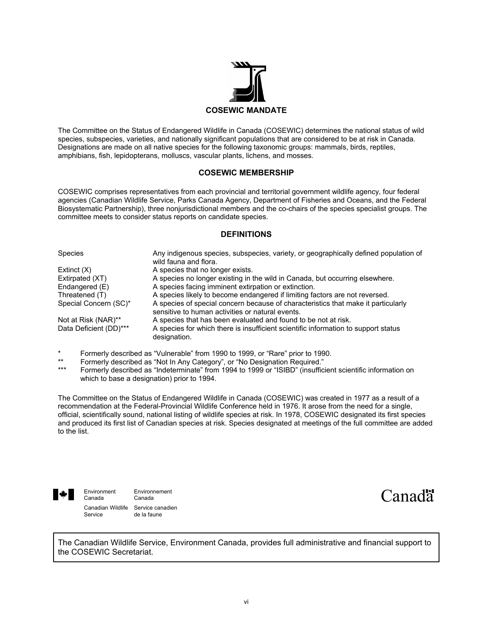

The Committee on the Status of Endangered Wildlife in Canada (COSEWIC) determines the national status of wild species, subspecies, varieties, and nationally significant populations that are considered to be at risk in Canada. Designations are made on all native species for the following taxonomic groups: mammals, birds, reptiles, amphibians, fish, lepidopterans, molluscs, vascular plants, lichens, and mosses.

#### **COSEWIC MEMBERSHIP**

COSEWIC comprises representatives from each provincial and territorial government wildlife agency, four federal agencies (Canadian Wildlife Service, Parks Canada Agency, Department of Fisheries and Oceans, and the Federal Biosystematic Partnership), three nonjurisdictional members and the co-chairs of the species specialist groups. The committee meets to consider status reports on candidate species.

#### **DEFINITIONS**

| <b>Species</b>         | Any indigenous species, subspecies, variety, or geographically defined population of<br>wild fauna and flora.                         |
|------------------------|---------------------------------------------------------------------------------------------------------------------------------------|
| Extinct $(X)$          | A species that no longer exists.                                                                                                      |
| Extirpated (XT)        | A species no longer existing in the wild in Canada, but occurring elsewhere.                                                          |
| Endangered (E)         | A species facing imminent extirpation or extinction.                                                                                  |
| Threatened (T)         | A species likely to become endangered if limiting factors are not reversed.                                                           |
| Special Concern (SC)*  | A species of special concern because of characteristics that make it particularly<br>sensitive to human activities or natural events. |
| Not at Risk (NAR)**    | A species that has been evaluated and found to be not at risk.                                                                        |
| Data Deficient (DD)*** | A species for which there is insufficient scientific information to support status<br>designation.                                    |

- \* Formerly described as "Vulnerable" from 1990 to 1999, or "Rare" prior to 1990.
- \*\* Formerly described as "Not In Any Category", or "No Designation Required."<br>\*\*\* Fermerly described as "Indeterminate" from 1994 to 1999 as "ISIBD" (inquiries
- Formerly described as "Indeterminate" from 1994 to 1999 or "ISIBD" (insufficient scientific information on which to base a designation) prior to 1994.

The Committee on the Status of Endangered Wildlife in Canada (COSEWIC) was created in 1977 as a result of a recommendation at the Federal-Provincial Wildlife Conference held in 1976. It arose from the need for a single, official, scientifically sound, national listing of wildlife species at risk. In 1978, COSEWIC designated its first species and produced its first list of Canadian species at risk. Species designated at meetings of the full committee are added to the list.



Environment Environnement<br>Canada Canada Canada Canadian Wildlife Service canadien<br>Service de la faune de la faune

Canad<sup>"</sup>

The Canadian Wildlife Service, Environment Canada, provides full administrative and financial support to the COSEWIC Secretariat.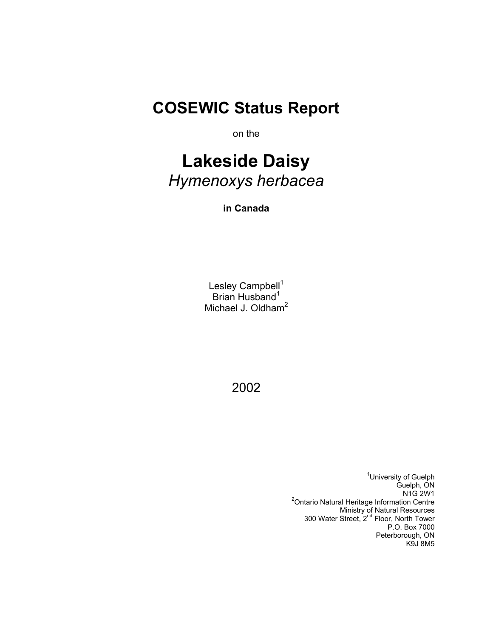# **COSEWIC Status Report**

on the

# **Lakeside Daisy**  *Hymenoxys herbacea*

**in Canada** 

Lesley Campbell<sup>1</sup> Brian Husband<sup>1</sup> Michael J. Oldham<sup>2</sup>

2002

<sup>1</sup>University of Guelph Guelph, ON<br>N1G 2W1 N1G 2W1 2 Ontario Natural Heritage Information Centre Ministry of Natural Resources 300 Water Street, 2<sup>nd</sup> Floor, North Tower P.O. Box 7000 Peterborough, ON K9J 8M5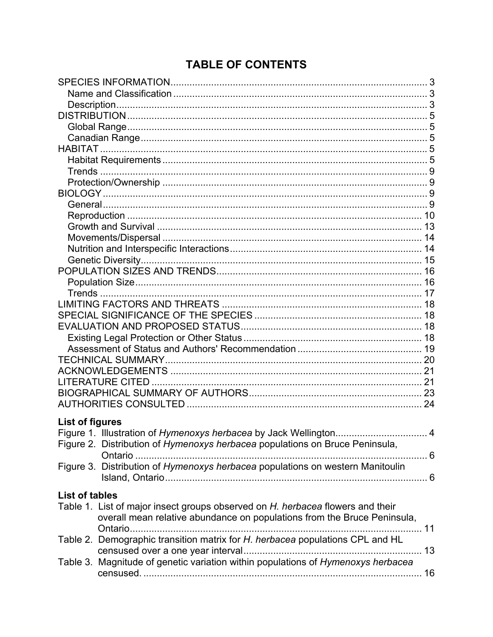# **TABLE OF CONTENTS**

| <b>List of figures</b> |                                                                                  |     |
|------------------------|----------------------------------------------------------------------------------|-----|
|                        | Figure 1. Illustration of Hymenoxys herbacea by Jack Wellington 4                |     |
|                        | Figure 2. Distribution of Hymenoxys herbacea populations on Bruce Peninsula,     |     |
|                        | Ontario                                                                          | . 6 |
|                        | Figure 3. Distribution of Hymenoxys herbacea populations on western Manitoulin   |     |
|                        |                                                                                  |     |
|                        |                                                                                  |     |
| <b>List of tables</b>  |                                                                                  |     |
|                        | Table 1. List of major insect groups observed on H. herbacea flowers and their   |     |
|                        | overall mean relative abundance on populations from the Bruce Peninsula,         |     |
|                        | Ontario                                                                          |     |
|                        | Table 2. Demographic transition matrix for H. herbacea populations CPL and HL    |     |
|                        |                                                                                  |     |
|                        | Table 3. Magnitude of genetic variation within populations of Hymenoxys herbacea |     |
|                        |                                                                                  |     |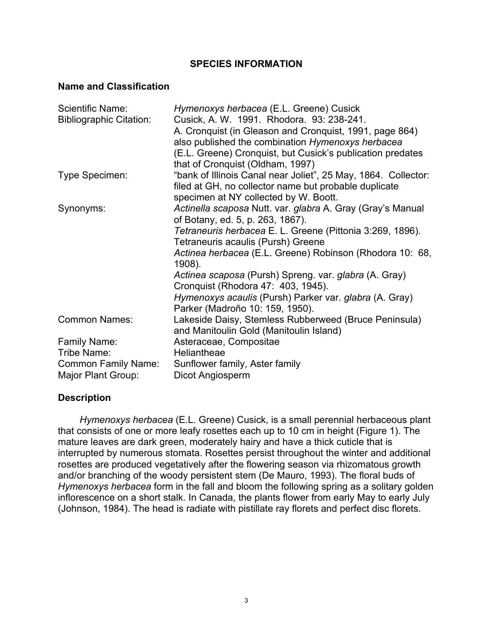# **SPECIES INFORMATION**

#### **Name and Classification**

| Scientific Name:               | Hymenoxys herbacea (E.L. Greene) Cusick                            |
|--------------------------------|--------------------------------------------------------------------|
| <b>Bibliographic Citation:</b> | Cusick, A. W. 1991. Rhodora. 93: 238-241.                          |
|                                | A. Cronquist (in Gleason and Cronquist, 1991, page 864)            |
|                                | also published the combination Hymenoxys herbacea                  |
|                                | (E.L. Greene) Cronquist, but Cusick's publication predates         |
|                                | that of Cronquist (Oldham, 1997)                                   |
| Type Specimen:                 | "bank of Illinois Canal near Joliet", 25 May, 1864. Collector:     |
|                                | filed at GH, no collector name but probable duplicate              |
|                                | specimen at NY collected by W. Boott.                              |
| Synonyms:                      | Actinella scaposa Nutt. var. glabra A. Gray (Gray's Manual         |
|                                | of Botany, ed. 5, p. 263, 1867).                                   |
|                                | Tetraneuris herbacea E. L. Greene (Pittonia 3:269, 1896).          |
|                                |                                                                    |
|                                | Tetraneuris acaulis (Pursh) Greene                                 |
|                                | Actinea herbacea (E.L. Greene) Robinson (Rhodora 10: 68,<br>1908). |
|                                |                                                                    |
|                                | Actinea scaposa (Pursh) Spreng. var. glabra (A. Gray)              |
|                                | Cronquist (Rhodora 47: 403, 1945).                                 |
|                                | Hymenoxys acaulis (Pursh) Parker var. glabra (A. Gray)             |
|                                | Parker (Madroño 10: 159, 1950).                                    |
| <b>Common Names:</b>           | Lakeside Daisy, Stemless Rubberweed (Bruce Peninsula)              |
|                                | and Manitoulin Gold (Manitoulin Island)                            |
| Family Name:                   | Asteraceae, Compositae                                             |
| Tribe Name:                    | Heliantheae                                                        |
| <b>Common Family Name:</b>     | Sunflower family, Aster family                                     |
| Major Plant Group:             | Dicot Angiosperm                                                   |

# **Description**

*Hymenoxys herbacea* (E.L. Greene) Cusick, is a small perennial herbaceous plant that consists of one or more leafy rosettes each up to 10 cm in height (Figure 1). The mature leaves are dark green, moderately hairy and have a thick cuticle that is interrupted by numerous stomata. Rosettes persist throughout the winter and additional rosettes are produced vegetatively after the flowering season via rhizomatous growth and/or branching of the woody persistent stem (De Mauro, 1993). The floral buds of *Hymenoxys herbacea* form in the fall and bloom the following spring as a solitary golden inflorescence on a short stalk. In Canada, the plants flower from early May to early July (Johnson, 1984). The head is radiate with pistillate ray florets and perfect disc florets.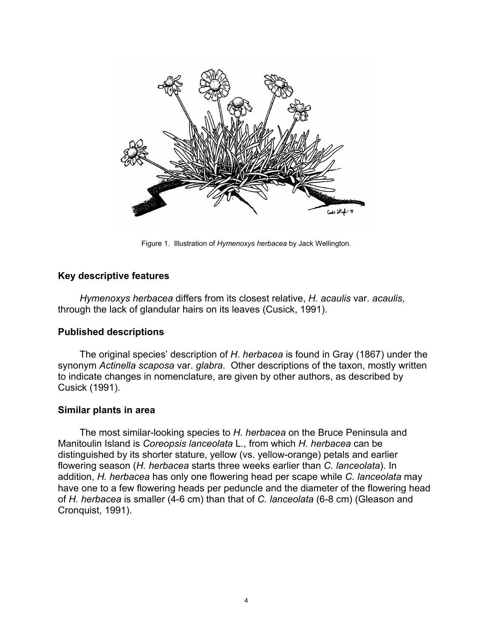

Figure 1. Illustration of *Hymenoxys herbacea* by Jack Wellington.

# **Key descriptive features**

*Hymenoxys herbacea* differs from its closest relative, *H. acaulis* var. *acaulis*, through the lack of glandular hairs on its leaves (Cusick, 1991).

# **Published descriptions**

The original species' description of *H*. *herbacea* is found in Gray (1867) under the synonym *Actinella scaposa* var. *glabra*. Other descriptions of the taxon, mostly written to indicate changes in nomenclature, are given by other authors, as described by Cusick (1991).

# **Similar plants in area**

The most similar-looking species to *H. herbacea* on the Bruce Peninsula and Manitoulin Island is *Coreopsis lanceolata* L., from which *H. herbacea* can be distinguished by its shorter stature, yellow (vs. yellow-orange) petals and earlier flowering season (*H. herbacea* starts three weeks earlier than *C. lanceolata*). In addition, *H. herbacea* has only one flowering head per scape while *C. lanceolata* may have one to a few flowering heads per peduncle and the diameter of the flowering head of *H. herbacea* is smaller (4-6 cm) than that of *C. lanceolata* (6-8 cm) (Gleason and Cronquist, 1991).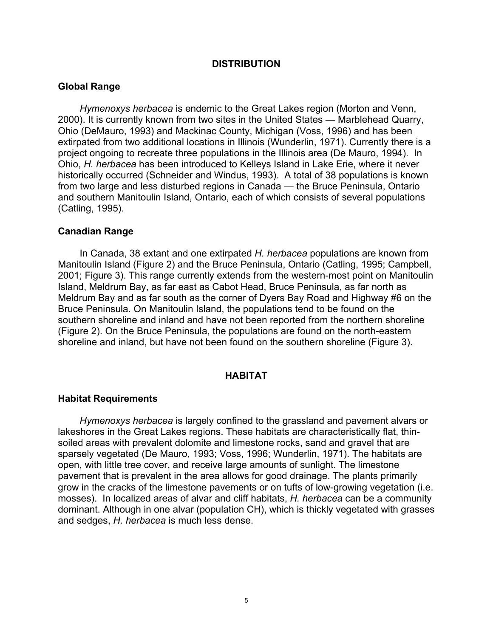#### **DISTRIBUTION**

#### **Global Range**

*Hymenoxys herbacea* is endemic to the Great Lakes region (Morton and Venn, 2000). It is currently known from two sites in the United States — Marblehead Quarry, Ohio (DeMauro, 1993) and Mackinac County, Michigan (Voss, 1996) and has been extirpated from two additional locations in Illinois (Wunderlin, 1971). Currently there is a project ongoing to recreate three populations in the Illinois area (De Mauro, 1994). In Ohio, *H. herbacea* has been introduced to Kelleys Island in Lake Erie, where it never historically occurred (Schneider and Windus, 1993). A total of 38 populations is known from two large and less disturbed regions in Canada — the Bruce Peninsula, Ontario and southern Manitoulin Island, Ontario, each of which consists of several populations (Catling, 1995).

#### **Canadian Range**

In Canada, 38 extant and one extirpated *H. herbacea* populations are known from Manitoulin Island (Figure 2) and the Bruce Peninsula, Ontario (Catling, 1995; Campbell, 2001; Figure 3). This range currently extends from the western-most point on Manitoulin Island, Meldrum Bay, as far east as Cabot Head, Bruce Peninsula, as far north as Meldrum Bay and as far south as the corner of Dyers Bay Road and Highway #6 on the Bruce Peninsula. On Manitoulin Island, the populations tend to be found on the southern shoreline and inland and have not been reported from the northern shoreline (Figure 2). On the Bruce Peninsula, the populations are found on the north-eastern shoreline and inland, but have not been found on the southern shoreline (Figure 3).

#### **HABITAT**

#### **Habitat Requirements**

*Hymenoxys herbacea* is largely confined to the grassland and pavement alvars or lakeshores in the Great Lakes regions. These habitats are characteristically flat, thinsoiled areas with prevalent dolomite and limestone rocks, sand and gravel that are sparsely vegetated (De Mauro, 1993; Voss, 1996; Wunderlin, 1971). The habitats are open, with little tree cover, and receive large amounts of sunlight. The limestone pavement that is prevalent in the area allows for good drainage. The plants primarily grow in the cracks of the limestone pavements or on tufts of low-growing vegetation (i.e. mosses). In localized areas of alvar and cliff habitats, *H. herbacea* can be a community dominant. Although in one alvar (population CH), which is thickly vegetated with grasses and sedges, *H. herbacea* is much less dense.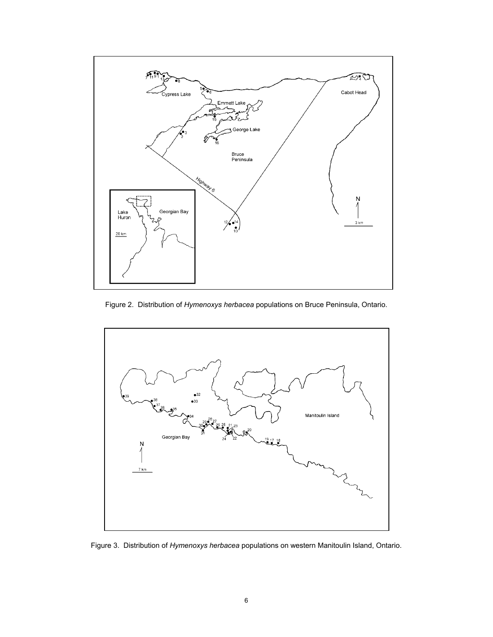

Figure 2. Distribution of *Hymenoxys herbacea* populations on Bruce Peninsula, Ontario.



Figure 3. Distribution of *Hymenoxys herbacea* populations on western Manitoulin Island, Ontario.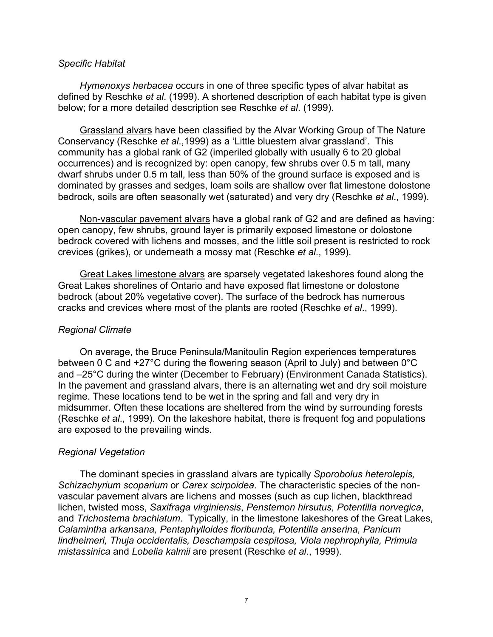#### *Specific Habitat*

*Hymenoxys herbacea* occurs in one of three specific types of alvar habitat as defined by Reschke *et al*. (1999). A shortened description of each habitat type is given below; for a more detailed description see Reschke *et al*. (1999).

Grassland alvars have been classified by the Alvar Working Group of The Nature Conservancy (Reschke *et al*.,1999) as a 'Little bluestem alvar grassland'. This community has a global rank of G2 (imperiled globally with usually 6 to 20 global occurrences) and is recognized by: open canopy, few shrubs over 0.5 m tall, many dwarf shrubs under 0.5 m tall, less than 50% of the ground surface is exposed and is dominated by grasses and sedges, loam soils are shallow over flat limestone dolostone bedrock, soils are often seasonally wet (saturated) and very dry (Reschke *et al*., 1999).

Non-vascular pavement alvars have a global rank of G2 and are defined as having: open canopy, few shrubs, ground layer is primarily exposed limestone or dolostone bedrock covered with lichens and mosses, and the little soil present is restricted to rock crevices (grikes), or underneath a mossy mat (Reschke *et al*., 1999).

Great Lakes limestone alvars are sparsely vegetated lakeshores found along the Great Lakes shorelines of Ontario and have exposed flat limestone or dolostone bedrock (about 20% vegetative cover). The surface of the bedrock has numerous cracks and crevices where most of the plants are rooted (Reschke *et al*., 1999).

# *Regional Climate*

On average, the Bruce Peninsula/Manitoulin Region experiences temperatures between 0 C and +27°C during the flowering season (April to July) and between 0°C and –25°C during the winter (December to February) (Environment Canada Statistics). In the pavement and grassland alvars, there is an alternating wet and dry soil moisture regime. These locations tend to be wet in the spring and fall and very dry in midsummer. Often these locations are sheltered from the wind by surrounding forests (Reschke *et al*., 1999). On the lakeshore habitat, there is frequent fog and populations are exposed to the prevailing winds.

# *Regional Vegetation*

The dominant species in grassland alvars are typically *Sporobolus heterolepis, Schizachyrium scoparium* or *Carex scirpoidea*. The characteristic species of the nonvascular pavement alvars are lichens and mosses (such as cup lichen, blackthread lichen, twisted moss, *Saxifraga virginiensis*, *Penstemon hirsutus, Potentilla norvegica*, and *Trichostema brachiatum*. Typically, in the limestone lakeshores of the Great Lakes, *Calamintha arkansana, Pentaphylloides floribunda, Potentilla anserina, Panicum lindheimeri, Thuja occidentalis, Deschampsia cespitosa, Viola nephrophylla, Primula mistassinica* and *Lobelia kalmii* are present (Reschke *et al*., 1999).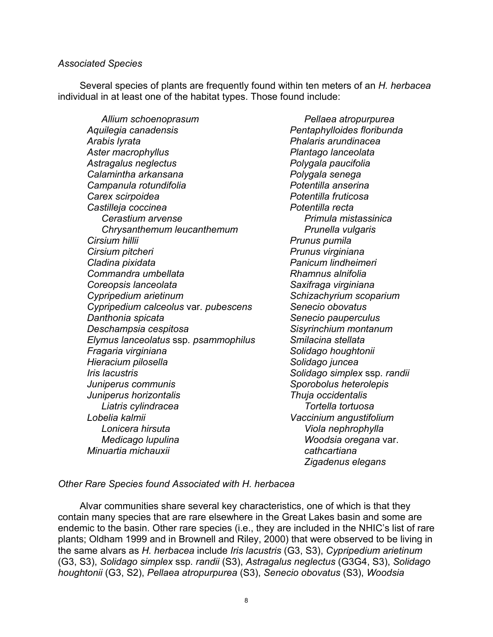#### *Associated Species*

Several species of plants are frequently found within ten meters of an *H. herbacea* individual in at least one of the habitat types. Those found include:

*Allium schoenoprasum Pellaea atropurpurea Aquilegia canadensis Pentaphylloides floribunda Arabis lyrata Phalaris arundinacea Aster macrophyllus Plantago lanceolata Astragalus neglectus Polygala paucifolia Calamintha arkansana Polygala senega Campanula rotundifolia Potentilla anserina Carex scirpoidea Potentilla fruticosa Castilleja coccinea Potentilla recta Cerastium arvense Primula mistassinica Chrysanthemum leucanthemum Prunella vulgaris Cirsium hillii Prunus pumila Cirsium pitcheri* Prunus virginiana *Cladina pixidata Panicum lindheimeri Commandra umbellata Rhamnus alnifolia Coreopsis lanceolata Saxifraga virginiana Cypripedium arietinum Schizachyrium scoparium Cypripedium calceolus* var*. pubescens Senecio obovatus*  **Danthonia spicata** Senecio pauperculus **Contrary and Senecio pauperculus** *Deschampsia cespitosa Sisyrinchium montanum Elymus lanceolatus* ssp*. psammophilus Smilacina stellata Fragaria virginiana Solidago houghtonii Hieracium pilosella Solidago juncea Iris lacustris Solidago simplex* ssp*. randii Juniperus communis Sporobolus heterolepis Juniperus horizontalis Thuja occidentalis Liatris cylindracea Tortella tortuosa* *Lobelia kalmii Vaccinium angustifolium Lonicera hirsuta Viola nephrophylla Medicago lupulina Woodsia oregana* var. *Minuartia michauxii cathcartiana* 

 *Zigadenus elegans* 

#### *Other Rare Species found Associated with H. herbacea*

Alvar communities share several key characteristics, one of which is that they contain many species that are rare elsewhere in the Great Lakes basin and some are endemic to the basin. Other rare species (i.e., they are included in the NHIC's list of rare plants; Oldham 1999 and in Brownell and Riley, 2000) that were observed to be living in the same alvars as *H. herbacea* include *Iris lacustris* (G3, S3), *Cypripedium arietinum*  (G3, S3), *Solidago simplex* ssp*. randii* (S3), *Astragalus neglectus* (G3G4, S3), *Solidago houghtonii* (G3, S2), *Pellaea atropurpurea* (S3), *Senecio obovatus* (S3), *Woodsia*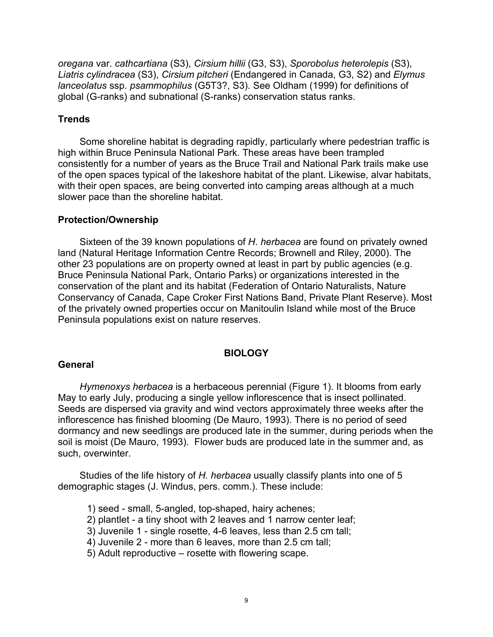*oregana* var. *cathcartiana* (S3), *Cirsium hillii* (G3, S3), *Sporobolus heterolepis* (S3), *Liatris cylindracea* (S3), *Cirsium pitcheri* (Endangered in Canada, G3, S2) and *Elymus lanceolatus* ssp. *psammophilus* (G5T3?, S3). See Oldham (1999) for definitions of global (G-ranks) and subnational (S-ranks) conservation status ranks.

# **Trends**

Some shoreline habitat is degrading rapidly, particularly where pedestrian traffic is high within Bruce Peninsula National Park. These areas have been trampled consistently for a number of years as the Bruce Trail and National Park trails make use of the open spaces typical of the lakeshore habitat of the plant. Likewise, alvar habitats, with their open spaces, are being converted into camping areas although at a much slower pace than the shoreline habitat.

#### **Protection/Ownership**

Sixteen of the 39 known populations of *H*. *herbacea* are found on privately owned land (Natural Heritage Information Centre Records; Brownell and Riley, 2000). The other 23 populations are on property owned at least in part by public agencies (e.g. Bruce Peninsula National Park, Ontario Parks) or organizations interested in the conservation of the plant and its habitat (Federation of Ontario Naturalists, Nature Conservancy of Canada, Cape Croker First Nations Band, Private Plant Reserve). Most of the privately owned properties occur on Manitoulin Island while most of the Bruce Peninsula populations exist on nature reserves.

# **BIOLOGY**

#### **General**

*Hymenoxys herbacea* is a herbaceous perennial (Figure 1). It blooms from early May to early July, producing a single yellow inflorescence that is insect pollinated. Seeds are dispersed via gravity and wind vectors approximately three weeks after the inflorescence has finished blooming (De Mauro, 1993). There is no period of seed dormancy and new seedlings are produced late in the summer, during periods when the soil is moist (De Mauro, 1993). Flower buds are produced late in the summer and, as such, overwinter.

Studies of the life history of *H. herbacea* usually classify plants into one of 5 demographic stages (J. Windus, pers. comm.). These include:

- 1) seed small, 5-angled, top-shaped, hairy achenes;
- 2) plantlet a tiny shoot with 2 leaves and 1 narrow center leaf;
- 3) Juvenile 1 single rosette, 4-6 leaves, less than 2.5 cm tall;
- 4) Juvenile 2 more than 6 leaves, more than 2.5 cm tall;
- 5) Adult reproductive rosette with flowering scape.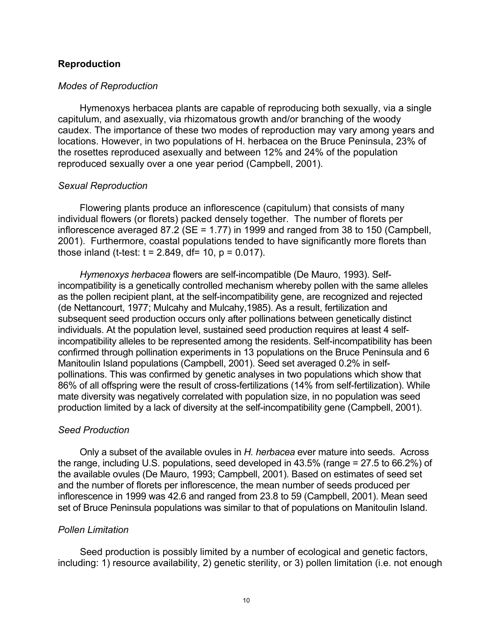# **Reproduction**

#### *Modes of Reproduction*

Hymenoxys herbacea plants are capable of reproducing both sexually, via a single capitulum, and asexually, via rhizomatous growth and/or branching of the woody caudex. The importance of these two modes of reproduction may vary among years and locations. However, in two populations of H. herbacea on the Bruce Peninsula, 23% of the rosettes reproduced asexually and between 12% and 24% of the population reproduced sexually over a one year period (Campbell, 2001).

#### *Sexual Reproduction*

Flowering plants produce an inflorescence (capitulum) that consists of many individual flowers (or florets) packed densely together. The number of florets per inflorescence averaged 87.2 (SE = 1.77) in 1999 and ranged from 38 to 150 (Campbell, 2001). Furthermore, coastal populations tended to have significantly more florets than those inland (t-test:  $t = 2.849$ , df= 10,  $p = 0.017$ ).

*Hymenoxys herbacea* flowers are self-incompatible (De Mauro, 1993). Selfincompatibility is a genetically controlled mechanism whereby pollen with the same alleles as the pollen recipient plant, at the self-incompatibility gene, are recognized and rejected (de Nettancourt, 1977; Mulcahy and Mulcahy,1985). As a result, fertilization and subsequent seed production occurs only after pollinations between genetically distinct individuals. At the population level, sustained seed production requires at least 4 selfincompatibility alleles to be represented among the residents. Self-incompatibility has been confirmed through pollination experiments in 13 populations on the Bruce Peninsula and 6 Manitoulin Island populations (Campbell, 2001). Seed set averaged 0.2% in selfpollinations. This was confirmed by genetic analyses in two populations which show that 86% of all offspring were the result of cross-fertilizations (14% from self-fertilization). While mate diversity was negatively correlated with population size, in no population was seed production limited by a lack of diversity at the self-incompatibility gene (Campbell, 2001).

#### *Seed Production*

Only a subset of the available ovules in *H. herbacea* ever mature into seeds. Across the range, including U.S. populations, seed developed in 43.5% (range = 27.5 to 66.2%) of the available ovules (De Mauro, 1993; Campbell, 2001). Based on estimates of seed set and the number of florets per inflorescence, the mean number of seeds produced per inflorescence in 1999 was 42.6 and ranged from 23.8 to 59 (Campbell, 2001). Mean seed set of Bruce Peninsula populations was similar to that of populations on Manitoulin Island.

# *Pollen Limitation*

Seed production is possibly limited by a number of ecological and genetic factors, including: 1) resource availability, 2) genetic sterility, or 3) pollen limitation (i.e. not enough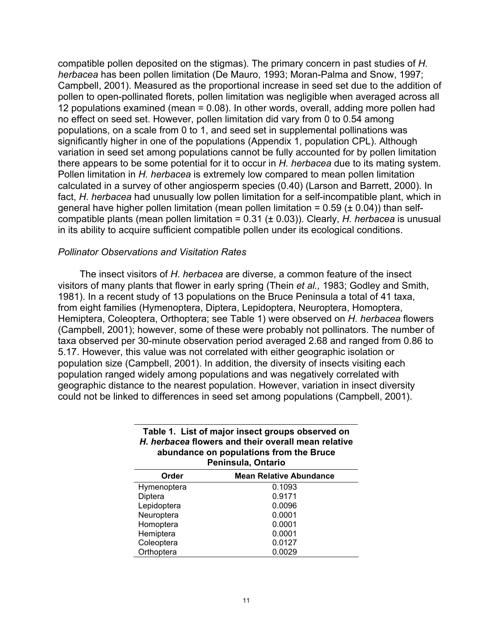compatible pollen deposited on the stigmas). The primary concern in past studies of *H. herbacea* has been pollen limitation (De Mauro, 1993; Moran-Palma and Snow, 1997; Campbell, 2001). Measured as the proportional increase in seed set due to the addition of pollen to open-pollinated florets, pollen limitation was negligible when averaged across all 12 populations examined (mean = 0.08). In other words, overall, adding more pollen had no effect on seed set. However, pollen limitation did vary from 0 to 0.54 among populations, on a scale from 0 to 1, and seed set in supplemental pollinations was significantly higher in one of the populations (Appendix 1, population CPL). Although variation in seed set among populations cannot be fully accounted for by pollen limitation there appears to be some potential for it to occur in *H. herbacea* due to its mating system. Pollen limitation in *H. herbacea* is extremely low compared to mean pollen limitation calculated in a survey of other angiosperm species (0.40) (Larson and Barrett, 2000). In fact, *H*. *herbacea* had unusually low pollen limitation for a self-incompatible plant, which in general have higher pollen limitation (mean pollen limitation =  $0.59$  ( $\pm$  0.04)) than selfcompatible plants (mean pollen limitation = 0.31 (± 0.03)). Clearly, *H. herbacea* is unusual in its ability to acquire sufficient compatible pollen under its ecological conditions.

#### *Pollinator Observations and Visitation Rates*

The insect visitors of *H*. *herbacea* are diverse, a common feature of the insect visitors of many plants that flower in early spring (Thein *et al.,* 1983; Godley and Smith, 1981). In a recent study of 13 populations on the Bruce Peninsula a total of 41 taxa, from eight families (Hymenoptera, Diptera, Lepidoptera, Neuroptera, Homoptera, Hemiptera, Coleoptera, Orthoptera; see Table 1) were observed on *H. herbacea* flowers (Campbell, 2001); however, some of these were probably not pollinators. The number of taxa observed per 30-minute observation period averaged 2.68 and ranged from 0.86 to 5.17. However, this value was not correlated with either geographic isolation or population size (Campbell, 2001). In addition, the diversity of insects visiting each population ranged widely among populations and was negatively correlated with geographic distance to the nearest population. However, variation in insect diversity could not be linked to differences in seed set among populations (Campbell, 2001).

| abundance on populations from the Bruce<br>Peninsula, Ontario |                                |  |  |
|---------------------------------------------------------------|--------------------------------|--|--|
| Order                                                         | <b>Mean Relative Abundance</b> |  |  |
| Hymenoptera                                                   | 0.1093                         |  |  |
| Diptera                                                       | 0.9171                         |  |  |
| Lepidoptera                                                   | 0.0096                         |  |  |
| Neuroptera                                                    | 0.0001                         |  |  |
| Homoptera                                                     | 0.0001                         |  |  |
| Hemiptera                                                     | 0.0001                         |  |  |
| Coleoptera                                                    | 0.0127                         |  |  |
| Orthoptera                                                    | 0.0029                         |  |  |

# **Table 1. List of major insect groups observed on**  *H. herbacea* **flowers and their overall mean relative abundance on populations from the Bruce**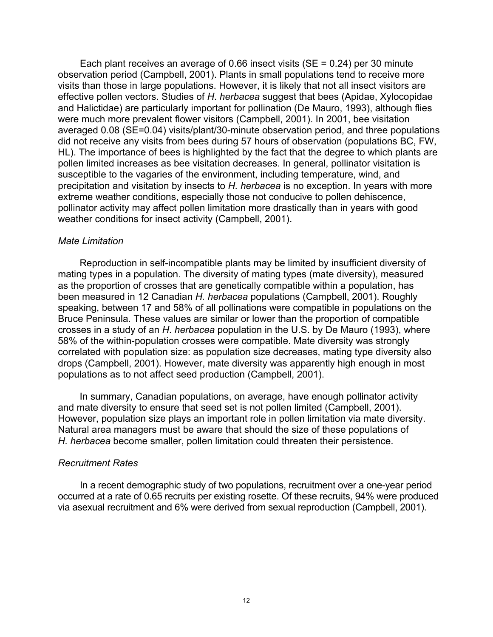Each plant receives an average of 0.66 insect visits (SE = 0.24) per 30 minute observation period (Campbell, 2001). Plants in small populations tend to receive more visits than those in large populations. However, it is likely that not all insect visitors are effective pollen vectors. Studies of *H*. *herbacea* suggest that bees (Apidae, Xylocopidae and Halictidae) are particularly important for pollination (De Mauro, 1993), although flies were much more prevalent flower visitors (Campbell, 2001). In 2001, bee visitation averaged 0.08 (SE=0.04) visits/plant/30-minute observation period, and three populations did not receive any visits from bees during 57 hours of observation (populations BC, FW, HL). The importance of bees is highlighted by the fact that the degree to which plants are pollen limited increases as bee visitation decreases. In general, pollinator visitation is susceptible to the vagaries of the environment, including temperature, wind, and precipitation and visitation by insects to *H. herbacea* is no exception. In years with more extreme weather conditions, especially those not conducive to pollen dehiscence, pollinator activity may affect pollen limitation more drastically than in years with good weather conditions for insect activity (Campbell, 2001).

#### *Mate Limitation*

Reproduction in self-incompatible plants may be limited by insufficient diversity of mating types in a population. The diversity of mating types (mate diversity), measured as the proportion of crosses that are genetically compatible within a population, has been measured in 12 Canadian *H. herbacea* populations (Campbell, 2001). Roughly speaking, between 17 and 58% of all pollinations were compatible in populations on the Bruce Peninsula. These values are similar or lower than the proportion of compatible crosses in a study of an *H*. *herbacea* population in the U.S. by De Mauro (1993), where 58% of the within-population crosses were compatible. Mate diversity was strongly correlated with population size: as population size decreases, mating type diversity also drops (Campbell, 2001). However, mate diversity was apparently high enough in most populations as to not affect seed production (Campbell, 2001).

In summary, Canadian populations, on average, have enough pollinator activity and mate diversity to ensure that seed set is not pollen limited (Campbell, 2001). However, population size plays an important role in pollen limitation via mate diversity. Natural area managers must be aware that should the size of these populations of *H. herbacea* become smaller, pollen limitation could threaten their persistence.

#### *Recruitment Rates*

In a recent demographic study of two populations, recruitment over a one-year period occurred at a rate of 0.65 recruits per existing rosette. Of these recruits, 94% were produced via asexual recruitment and 6% were derived from sexual reproduction (Campbell, 2001).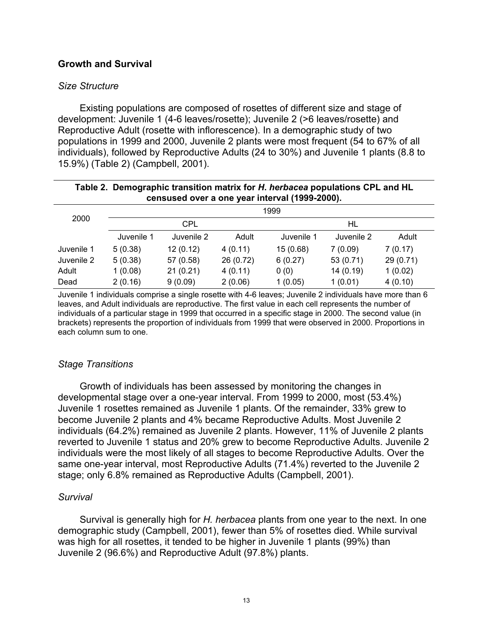# **Growth and Survival**

# *Size Structure*

Existing populations are composed of rosettes of different size and stage of development: Juvenile 1 (4-6 leaves/rosette); Juvenile 2 (>6 leaves/rosette) and Reproductive Adult (rosette with inflorescence). In a demographic study of two populations in 1999 and 2000, Juvenile 2 plants were most frequent (54 to 67% of all individuals), followed by Reproductive Adults (24 to 30%) and Juvenile 1 plants (8.8 to 15.9%) (Table 2) (Campbell, 2001).

| Table 2. Demographic transition matrix for H. herbacea populations CPL and HL<br>censused over a one year interval (1999-2000). |            |            |           |            |            |           |
|---------------------------------------------------------------------------------------------------------------------------------|------------|------------|-----------|------------|------------|-----------|
|                                                                                                                                 | 1999       |            |           |            |            |           |
| 2000                                                                                                                            | <b>CPL</b> |            |           | HL         |            |           |
|                                                                                                                                 | Juvenile 1 | Juvenile 2 | Adult     | Juvenile 1 | Juvenile 2 | Adult     |
| Juvenile 1                                                                                                                      | 5(0.38)    | 12(0.12)   | 4(0.11)   | 15(0.68)   | 7(0.09)    | 7(0.17)   |
| Juvenile 2                                                                                                                      | 5(0.38)    | 57 (0.58)  | 26 (0.72) | 6(0.27)    | 53 (0.71)  | 29 (0.71) |
| Adult                                                                                                                           | 1(0.08)    | 21(0.21)   | 4(0.11)   | 0(0)       | 14(0.19)   | 1(0.02)   |
| Dead                                                                                                                            | 2(0.16)    | 9(0.09)    | 2(0.06)   | 1(0.05)    | 1(0.01)    | 4(0.10)   |

Juvenile 1 individuals comprise a single rosette with 4-6 leaves; Juvenile 2 individuals have more than 6 leaves, and Adult individuals are reproductive. The first value in each cell represents the number of individuals of a particular stage in 1999 that occurred in a specific stage in 2000. The second value (in brackets) represents the proportion of individuals from 1999 that were observed in 2000. Proportions in each column sum to one.

# *Stage Transitions*

Growth of individuals has been assessed by monitoring the changes in developmental stage over a one-year interval. From 1999 to 2000, most (53.4%) Juvenile 1 rosettes remained as Juvenile 1 plants. Of the remainder, 33% grew to become Juvenile 2 plants and 4% became Reproductive Adults. Most Juvenile 2 individuals (64.2%) remained as Juvenile 2 plants. However, 11% of Juvenile 2 plants reverted to Juvenile 1 status and 20% grew to become Reproductive Adults. Juvenile 2 individuals were the most likely of all stages to become Reproductive Adults. Over the same one-year interval, most Reproductive Adults (71.4%) reverted to the Juvenile 2 stage; only 6.8% remained as Reproductive Adults (Campbell, 2001).

# *Survival*

Survival is generally high for *H. herbacea* plants from one year to the next. In one demographic study (Campbell, 2001), fewer than 5% of rosettes died. While survival was high for all rosettes, it tended to be higher in Juvenile 1 plants (99%) than Juvenile 2 (96.6%) and Reproductive Adult (97.8%) plants.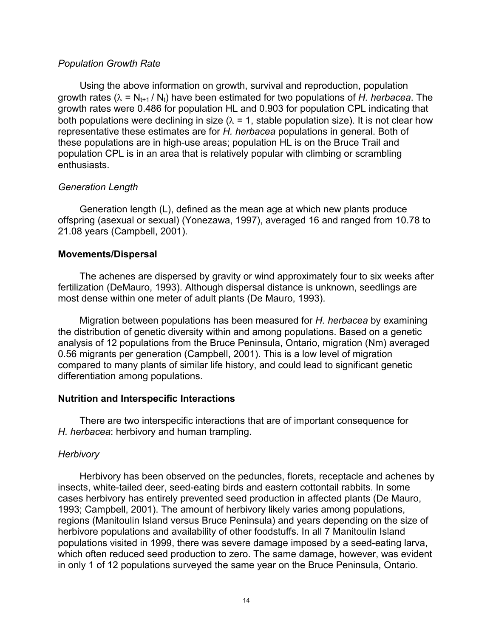#### *Population Growth Rate*

Using the above information on growth, survival and reproduction, population growth rates ( $\lambda = N_{t+1} / N_t$ ) have been estimated for two populations of *H. herbacea*. The growth rates were 0.486 for population HL and 0.903 for population CPL indicating that both populations were declining in size ( $\lambda$  = 1, stable population size). It is not clear how representative these estimates are for *H. herbacea* populations in general. Both of these populations are in high-use areas; population HL is on the Bruce Trail and population CPL is in an area that is relatively popular with climbing or scrambling enthusiasts.

# *Generation Length*

Generation length (L), defined as the mean age at which new plants produce offspring (asexual or sexual) (Yonezawa, 1997), averaged 16 and ranged from 10.78 to 21.08 years (Campbell, 2001).

#### **Movements/Dispersal**

The achenes are dispersed by gravity or wind approximately four to six weeks after fertilization (DeMauro, 1993). Although dispersal distance is unknown, seedlings are most dense within one meter of adult plants (De Mauro, 1993).

Migration between populations has been measured for *H. herbacea* by examining the distribution of genetic diversity within and among populations. Based on a genetic analysis of 12 populations from the Bruce Peninsula, Ontario, migration (Nm) averaged 0.56 migrants per generation (Campbell, 2001). This is a low level of migration compared to many plants of similar life history, and could lead to significant genetic differentiation among populations.

#### **Nutrition and Interspecific Interactions**

There are two interspecific interactions that are of important consequence for *H. herbacea*: herbivory and human trampling.

#### *Herbivory*

Herbivory has been observed on the peduncles, florets, receptacle and achenes by insects, white-tailed deer, seed-eating birds and eastern cottontail rabbits. In some cases herbivory has entirely prevented seed production in affected plants (De Mauro, 1993; Campbell, 2001). The amount of herbivory likely varies among populations, regions (Manitoulin Island versus Bruce Peninsula) and years depending on the size of herbivore populations and availability of other foodstuffs. In all 7 Manitoulin Island populations visited in 1999, there was severe damage imposed by a seed-eating larva, which often reduced seed production to zero. The same damage, however, was evident in only 1 of 12 populations surveyed the same year on the Bruce Peninsula, Ontario.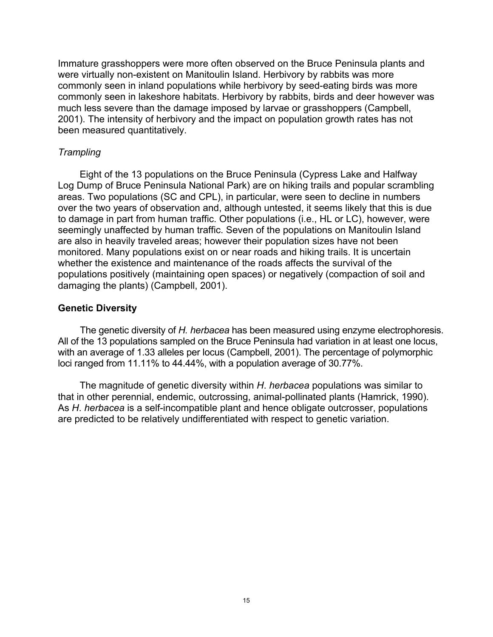Immature grasshoppers were more often observed on the Bruce Peninsula plants and were virtually non-existent on Manitoulin Island. Herbivory by rabbits was more commonly seen in inland populations while herbivory by seed-eating birds was more commonly seen in lakeshore habitats. Herbivory by rabbits, birds and deer however was much less severe than the damage imposed by larvae or grasshoppers (Campbell, 2001). The intensity of herbivory and the impact on population growth rates has not been measured quantitatively.

# *Trampling*

Eight of the 13 populations on the Bruce Peninsula (Cypress Lake and Halfway Log Dump of Bruce Peninsula National Park) are on hiking trails and popular scrambling areas. Two populations (SC and CPL), in particular, were seen to decline in numbers over the two years of observation and, although untested, it seems likely that this is due to damage in part from human traffic. Other populations (i.e., HL or LC), however, were seemingly unaffected by human traffic. Seven of the populations on Manitoulin Island are also in heavily traveled areas; however their population sizes have not been monitored. Many populations exist on or near roads and hiking trails. It is uncertain whether the existence and maintenance of the roads affects the survival of the populations positively (maintaining open spaces) or negatively (compaction of soil and damaging the plants) (Campbell, 2001).

# **Genetic Diversity**

The genetic diversity of *H. herbacea* has been measured using enzyme electrophoresis. All of the 13 populations sampled on the Bruce Peninsula had variation in at least one locus, with an average of 1.33 alleles per locus (Campbell, 2001). The percentage of polymorphic loci ranged from 11.11% to 44.44%, with a population average of 30.77%.

The magnitude of genetic diversity within *H*. *herbacea* populations was similar to that in other perennial, endemic, outcrossing, animal-pollinated plants (Hamrick, 1990). As *H*. *herbacea* is a self-incompatible plant and hence obligate outcrosser, populations are predicted to be relatively undifferentiated with respect to genetic variation.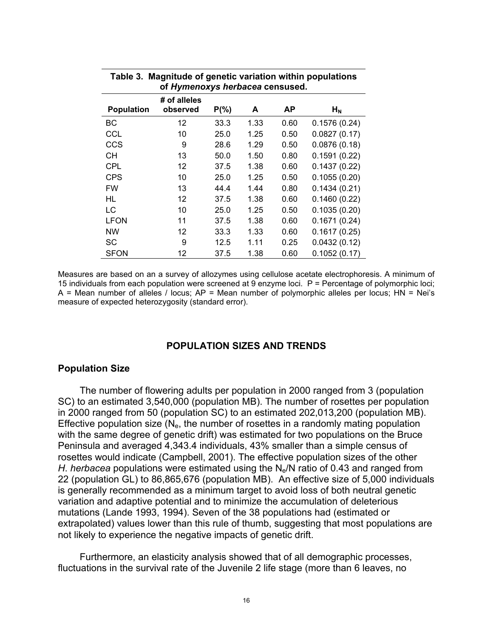|                   | UI <i>Hymenoxys herbacea</i> censused. |          |      |      |              |
|-------------------|----------------------------------------|----------|------|------|--------------|
| <b>Population</b> | # of alleles<br>observed               | $P(\% )$ | A    | ΑP   | $H_N$        |
| BС                | $12 \overline{ }$                      | 33.3     | 1.33 | 0.60 | 0.1576(0.24) |
| <b>CCL</b>        | 10                                     | 25.0     | 1.25 | 0.50 | 0.0827(0.17) |
| <b>CCS</b>        | 9                                      | 28.6     | 1.29 | 0.50 | 0.0876(0.18) |
| CН                | 13                                     | 50.0     | 1.50 | 0.80 | 0.1591(0.22) |
| <b>CPL</b>        | 12                                     | 37.5     | 1.38 | 0.60 | 0.1437(0.22) |
| <b>CPS</b>        | 10                                     | 25.0     | 1.25 | 0.50 | 0.1055(0.20) |
| <b>FW</b>         | 13                                     | 44.4     | 1.44 | 0.80 | 0.1434(0.21) |
| <b>HL</b>         | 12                                     | 37.5     | 1.38 | 0.60 | 0.1460(0.22) |
| LC                | 10                                     | 25.0     | 1.25 | 0.50 | 0.1035(0.20) |
| <b>LFON</b>       | 11                                     | 37.5     | 1.38 | 0.60 | 0.1671(0.24) |
| <b>NW</b>         | 12                                     | 33.3     | 1.33 | 0.60 | 0.1617(0.25) |
| <b>SC</b>         | 9                                      | 12.5     | 1.11 | 0.25 | 0.0432(0.12) |
| <b>SFON</b>       | 12                                     | 37.5     | 1.38 | 0.60 | 0.1052(0.17) |

| Table 3. Magnitude of genetic variation within populations |
|------------------------------------------------------------|
| of Hymenoxys herbacea censused.                            |

Measures are based on an a survey of allozymes using cellulose acetate electrophoresis. A minimum of 15 individuals from each population were screened at 9 enzyme loci. P = Percentage of polymorphic loci;  $A =$  Mean number of alleles / locus;  $AP =$  Mean number of polymorphic alleles per locus;  $HN = Nei's$ measure of expected heterozygosity (standard error).

#### **POPULATION SIZES AND TRENDS**

#### **Population Size**

The number of flowering adults per population in 2000 ranged from 3 (population SC) to an estimated 3,540,000 (population MB). The number of rosettes per population in 2000 ranged from 50 (population SC) to an estimated 202,013,200 (population MB). Effective population size  $(N_e, h$  the number of rosettes in a randomly mating population with the same degree of genetic drift) was estimated for two populations on the Bruce Peninsula and averaged 4,343.4 individuals, 43% smaller than a simple census of rosettes would indicate (Campbell, 2001). The effective population sizes of the other *H*. *herbacea* populations were estimated using the N<sub>e</sub>/N ratio of 0.43 and ranged from 22 (population GL) to 86,865,676 (population MB). An effective size of 5,000 individuals is generally recommended as a minimum target to avoid loss of both neutral genetic variation and adaptive potential and to minimize the accumulation of deleterious mutations (Lande 1993, 1994). Seven of the 38 populations had (estimated or extrapolated) values lower than this rule of thumb, suggesting that most populations are not likely to experience the negative impacts of genetic drift.

Furthermore, an elasticity analysis showed that of all demographic processes, fluctuations in the survival rate of the Juvenile 2 life stage (more than 6 leaves, no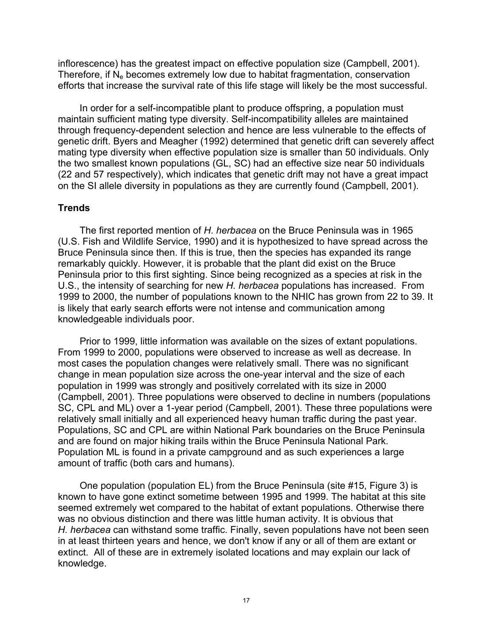inflorescence) has the greatest impact on effective population size (Campbell, 2001). Therefore, if  $N_e$  becomes extremely low due to habitat fragmentation, conservation efforts that increase the survival rate of this life stage will likely be the most successful.

In order for a self-incompatible plant to produce offspring, a population must maintain sufficient mating type diversity. Self-incompatibility alleles are maintained through frequency-dependent selection and hence are less vulnerable to the effects of genetic drift. Byers and Meagher (1992) determined that genetic drift can severely affect mating type diversity when effective population size is smaller than 50 individuals. Only the two smallest known populations (GL, SC) had an effective size near 50 individuals (22 and 57 respectively), which indicates that genetic drift may not have a great impact on the SI allele diversity in populations as they are currently found (Campbell, 2001).

# **Trends**

The first reported mention of *H*. *herbacea* on the Bruce Peninsula was in 1965 (U.S. Fish and Wildlife Service, 1990) and it is hypothesized to have spread across the Bruce Peninsula since then. If this is true, then the species has expanded its range remarkably quickly. However, it is probable that the plant did exist on the Bruce Peninsula prior to this first sighting. Since being recognized as a species at risk in the U.S., the intensity of searching for new *H. herbacea* populations has increased. From 1999 to 2000, the number of populations known to the NHIC has grown from 22 to 39. It is likely that early search efforts were not intense and communication among knowledgeable individuals poor.

Prior to 1999, little information was available on the sizes of extant populations. From 1999 to 2000, populations were observed to increase as well as decrease. In most cases the population changes were relatively small. There was no significant change in mean population size across the one-year interval and the size of each population in 1999 was strongly and positively correlated with its size in 2000 (Campbell, 2001). Three populations were observed to decline in numbers (populations SC, CPL and ML) over a 1-year period (Campbell, 2001). These three populations were relatively small initially and all experienced heavy human traffic during the past year. Populations, SC and CPL are within National Park boundaries on the Bruce Peninsula and are found on major hiking trails within the Bruce Peninsula National Park. Population ML is found in a private campground and as such experiences a large amount of traffic (both cars and humans).

One population (population EL) from the Bruce Peninsula (site #15, Figure 3) is known to have gone extinct sometime between 1995 and 1999. The habitat at this site seemed extremely wet compared to the habitat of extant populations. Otherwise there was no obvious distinction and there was little human activity. It is obvious that *H. herbacea* can withstand some traffic. Finally, seven populations have not been seen in at least thirteen years and hence, we don't know if any or all of them are extant or extinct. All of these are in extremely isolated locations and may explain our lack of knowledge.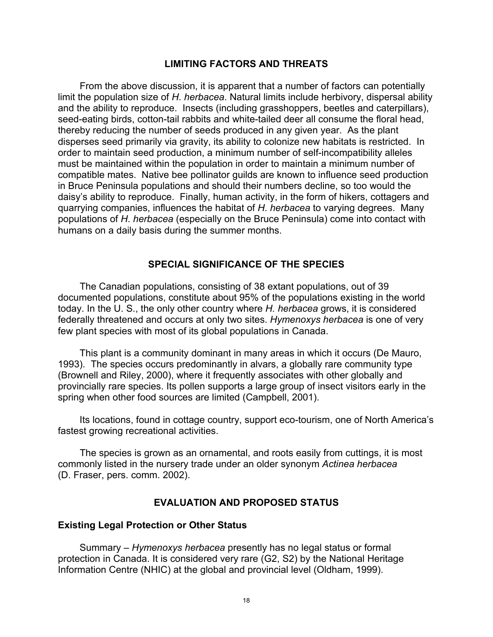# **LIMITING FACTORS AND THREATS**

From the above discussion, it is apparent that a number of factors can potentially limit the population size of *H*. *herbacea*. Natural limits include herbivory, dispersal ability and the ability to reproduce. Insects (including grasshoppers, beetles and caterpillars), seed-eating birds, cotton-tail rabbits and white-tailed deer all consume the floral head, thereby reducing the number of seeds produced in any given year. As the plant disperses seed primarily via gravity, its ability to colonize new habitats is restricted. In order to maintain seed production, a minimum number of self-incompatibility alleles must be maintained within the population in order to maintain a minimum number of compatible mates. Native bee pollinator guilds are known to influence seed production in Bruce Peninsula populations and should their numbers decline, so too would the daisy's ability to reproduce. Finally, human activity, in the form of hikers, cottagers and quarrying companies, influences the habitat of *H*. *herbacea* to varying degrees. Many populations of *H*. *herbacea* (especially on the Bruce Peninsula) come into contact with humans on a daily basis during the summer months.

#### **SPECIAL SIGNIFICANCE OF THE SPECIES**

The Canadian populations, consisting of 38 extant populations, out of 39 documented populations, constitute about 95% of the populations existing in the world today. In the U. S., the only other country where *H. herbacea* grows, it is considered federally threatened and occurs at only two sites. *Hymenoxys herbacea* is one of very few plant species with most of its global populations in Canada.

This plant is a community dominant in many areas in which it occurs (De Mauro, 1993). The species occurs predominantly in alvars, a globally rare community type (Brownell and Riley, 2000), where it frequently associates with other globally and provincially rare species. Its pollen supports a large group of insect visitors early in the spring when other food sources are limited (Campbell, 2001).

Its locations, found in cottage country, support eco-tourism, one of North America's fastest growing recreational activities.

The species is grown as an ornamental, and roots easily from cuttings, it is most commonly listed in the nursery trade under an older synonym *Actinea herbacea* (D. Fraser, pers. comm. 2002).

#### **EVALUATION AND PROPOSED STATUS**

#### **Existing Legal Protection or Other Status**

Summary – *Hymenoxys herbacea* presently has no legal status or formal protection in Canada. It is considered very rare (G2, S2) by the National Heritage Information Centre (NHIC) at the global and provincial level (Oldham, 1999).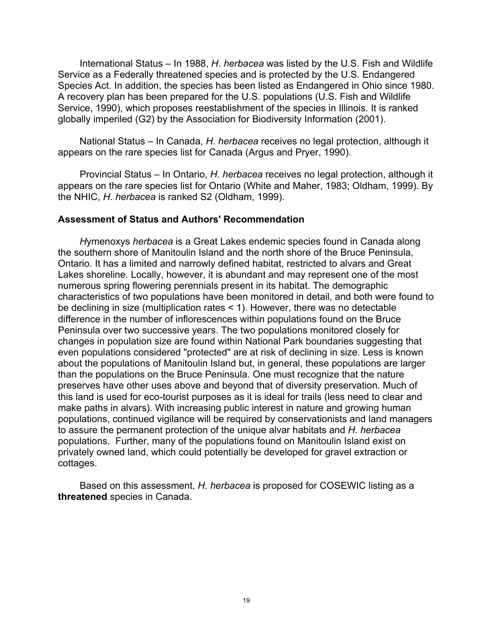International Status – In 1988, *H*. *herbacea* was listed by the U.S. Fish and Wildlife Service as a Federally threatened species and is protected by the U.S. Endangered Species Act. In addition, the species has been listed as Endangered in Ohio since 1980. A recovery plan has been prepared for the U.S. populations (U.S. Fish and Wildlife Service, 1990), which proposes reestablishment of the species in Illinois. It is ranked globally imperiled (G2) by the Association for Biodiversity Information (2001).

National Status – In Canada, *H*. *herbacea* receives no legal protection, although it appears on the rare species list for Canada (Argus and Pryer, 1990).

Provincial Status – In Ontario, *H*. *herbacea* receives no legal protection, although it appears on the rare species list for Ontario (White and Maher, 1983; Oldham, 1999). By the NHIC, *H*. *herbacea* is ranked S2 (Oldham, 1999).

#### **Assessment of Status and Authors' Recommendation**

*H*ymenoxys *herbacea* is a Great Lakes endemic species found in Canada along the southern shore of Manitoulin Island and the north shore of the Bruce Peninsula, Ontario. It has a limited and narrowly defined habitat, restricted to alvars and Great Lakes shoreline. Locally, however, it is abundant and may represent one of the most numerous spring flowering perennials present in its habitat. The demographic characteristics of two populations have been monitored in detail, and both were found to be declining in size (multiplication rates < 1). However, there was no detectable difference in the number of inflorescences within populations found on the Bruce Peninsula over two successive years. The two populations monitored closely for changes in population size are found within National Park boundaries suggesting that even populations considered "protected" are at risk of declining in size. Less is known about the populations of Manitoulin Island but, in general, these populations are larger than the populations on the Bruce Peninsula. One must recognize that the nature preserves have other uses above and beyond that of diversity preservation. Much of this land is used for eco-tourist purposes as it is ideal for trails (less need to clear and make paths in alvars). With increasing public interest in nature and growing human populations, continued vigilance will be required by conservationists and land managers to assure the permanent protection of the unique alvar habitats and *H*. *herbacea* populations. Further, many of the populations found on Manitoulin Island exist on privately owned land, which could potentially be developed for gravel extraction or cottages.

Based on this assessment, *H*. *herbacea* is proposed for COSEWIC listing as a **threatened** species in Canada.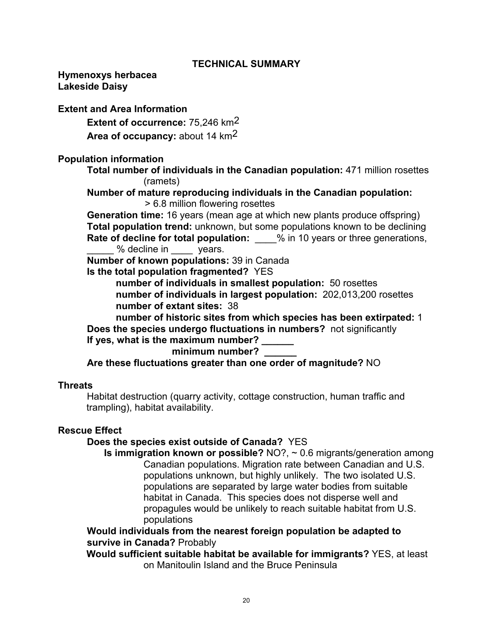# **TECHNICAL SUMMARY**

**Hymenoxys herbacea Lakeside Daisy** 

#### **Extent and Area Information**

 **Extent of occurrence:** 75,246 km2

 **Area of occupancy:** about 14 km2

#### **Population information**

**Total number of individuals in the Canadian population:** 471 million rosettes (ramets)

 **Number of mature reproducing individuals in the Canadian population:**  > 6.8 million flowering rosettes

**Generation time:** 16 years (mean age at which new plants produce offspring)  **Total population trend:** unknown, but some populations known to be declining **Rate of decline for total population:**  $\frac{1}{2}$  % in 10 years or three generations, % decline in \_\_\_ years.

 **Number of known populations:** 39 in Canada

 **Is the total population fragmented?** YES

 **number of individuals in smallest population:** 50 rosettes  **number of individuals in largest population:** 202,013,200 rosettes  **number of extant sites:** 38

 **number of historic sites from which species has been extirpated:** 1  **Does the species undergo fluctuations in numbers?** not significantly If yes, what is the maximum number?

minimum number?

 **Are these fluctuations greater than one order of magnitude?** NO

#### **Threats**

Habitat destruction (quarry activity, cottage construction, human traffic and trampling), habitat availability.

# **Rescue Effect**

# **Does the species exist outside of Canada?** YES

**Is immigration known or possible?** NO?, ~ 0.6 migrants/generation among Canadian populations. Migration rate between Canadian and U.S. populations unknown, but highly unlikely. The two isolated U.S. populations are separated by large water bodies from suitable habitat in Canada. This species does not disperse well and propagules would be unlikely to reach suitable habitat from U.S. populations

# **Would individuals from the nearest foreign population be adapted to survive in Canada?** Probably

**Would sufficient suitable habitat be available for immigrants?** YES, at least on Manitoulin Island and the Bruce Peninsula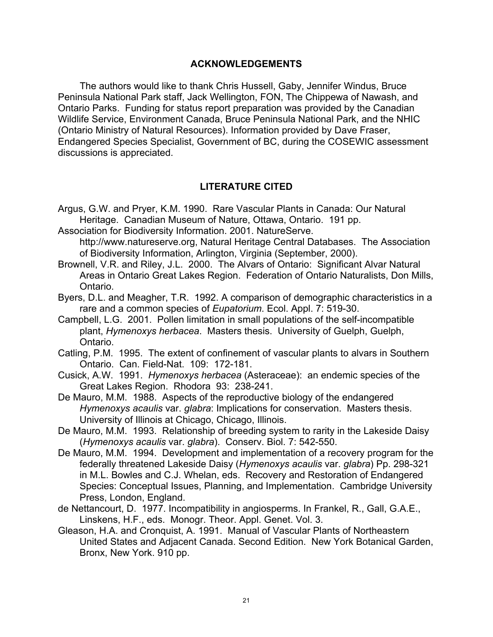#### **ACKNOWLEDGEMENTS**

The authors would like to thank Chris Hussell, Gaby, Jennifer Windus, Bruce Peninsula National Park staff, Jack Wellington, FON, The Chippewa of Nawash, and Ontario Parks. Funding for status report preparation was provided by the Canadian Wildlife Service, Environment Canada, Bruce Peninsula National Park, and the NHIC (Ontario Ministry of Natural Resources). Information provided by Dave Fraser, Endangered Species Specialist, Government of BC, during the COSEWIC assessment discussions is appreciated.

# **LITERATURE CITED**

- Argus, G.W. and Pryer, K.M. 1990. Rare Vascular Plants in Canada: Our Natural Heritage. Canadian Museum of Nature, Ottawa, Ontario. 191 pp.
- Association for Biodiversity Information. 2001. NatureServe.

http://www.natureserve.org, Natural Heritage Central Databases. The Association of Biodiversity Information, Arlington, Virginia (September, 2000).

- Brownell, V.R. and Riley, J.L. 2000. The Alvars of Ontario: Significant Alvar Natural Areas in Ontario Great Lakes Region. Federation of Ontario Naturalists, Don Mills, Ontario.
- Byers, D.L. and Meagher, T.R. 1992. A comparison of demographic characteristics in a rare and a common species of *Eupatorium*. Ecol. Appl. 7: 519-30.
- Campbell, L.G. 2001. Pollen limitation in small populations of the self-incompatible plant, *Hymenoxys herbacea*. Masters thesis. University of Guelph, Guelph, Ontario.
- Catling, P.M. 1995. The extent of confinement of vascular plants to alvars in Southern Ontario. Can. Field-Nat. 109: 172-181.
- Cusick, A.W. 1991. *Hymenoxys herbacea* (Asteraceae): an endemic species of the Great Lakes Region. Rhodora 93: 238-241.
- De Mauro, M.M. 1988. Aspects of the reproductive biology of the endangered *Hymenoxys acaulis* var. *glabra*: Implications for conservation. Masters thesis. University of Illinois at Chicago, Chicago, Illinois.
- De Mauro, M.M. 1993. Relationship of breeding system to rarity in the Lakeside Daisy (*Hymenoxys acaulis* var. *glabra*). Conserv. Biol. 7: 542-550.
- De Mauro, M.M. 1994. Development and implementation of a recovery program for the federally threatened Lakeside Daisy (*Hymenoxys acaulis* var. *glabra*) Pp. 298-321 in M.L. Bowles and C.J. Whelan, eds. Recovery and Restoration of Endangered Species: Conceptual Issues, Planning, and Implementation. Cambridge University Press, London, England.
- de Nettancourt, D. 1977. Incompatibility in angiosperms. In Frankel, R., Gall, G.A.E., Linskens, H.F., eds. Monogr. Theor. Appl. Genet. Vol. 3.
- Gleason, H.A. and Cronquist, A. 1991. Manual of Vascular Plants of Northeastern United States and Adjacent Canada. Second Edition. New York Botanical Garden, Bronx, New York. 910 pp.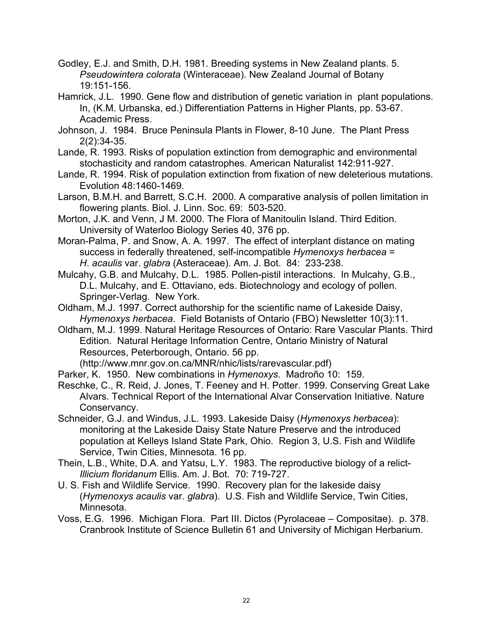- Godley, E.J. and Smith, D.H. 1981. Breeding systems in New Zealand plants. 5. *Pseudowintera colorata* (Winteraceae). New Zealand Journal of Botany 19:151-156.
- Hamrick, J.L. 1990. Gene flow and distribution of genetic variation in plant populations. In, (K.M. Urbanska, ed.) Differentiation Patterns in Higher Plants, pp. 53-67. Academic Press.
- Johnson, J. 1984. Bruce Peninsula Plants in Flower, 8-10 June. The Plant Press 2(2):34-35.
- Lande, R. 1993. Risks of population extinction from demographic and environmental stochasticity and random catastrophes. American Naturalist 142:911-927.
- Lande, R. 1994. Risk of population extinction from fixation of new deleterious mutations. Evolution 48:1460-1469.
- Larson, B.M.H. and Barrett, S.C.H. 2000. A comparative analysis of pollen limitation in flowering plants. Biol. J. Linn. Soc. 69: 503-520.
- Morton, J.K. and Venn, J M. 2000. The Flora of Manitoulin Island. Third Edition. University of Waterloo Biology Series 40, 376 pp.
- Moran-Palma, P. and Snow, A. A. 1997. The effect of interplant distance on mating success in federally threatened, self-incompatible *Hymenoxys herbacea* = *H*. *acaulis* var. *glabra* (Asteraceae). Am. J. Bot. 84: 233-238.
- Mulcahy, G.B. and Mulcahy, D.L. 1985. Pollen-pistil interactions. In Mulcahy, G.B., D.L. Mulcahy, and E. Ottaviano, eds. Biotechnology and ecology of pollen. Springer-Verlag. New York.
- Oldham, M.J. 1997. Correct authorship for the scientific name of Lakeside Daisy, *Hymenoxys herbacea*. Field Botanists of Ontario (FBO) Newsletter 10(3):11.
- Oldham, M.J. 1999. Natural Heritage Resources of Ontario: Rare Vascular Plants. Third Edition. Natural Heritage Information Centre, Ontario Ministry of Natural Resources, Peterborough, Ontario. 56 pp.

(http://www.mnr.gov.on.ca/MNR/nhic/lists/rarevascular.pdf)

- Parker, K. 1950. New combinations in *Hymenoxys*. Madroño 10: 159.
- Reschke, C., R. Reid, J. Jones, T. Feeney and H. Potter. 1999. Conserving Great Lake Alvars. Technical Report of the International Alvar Conservation Initiative. Nature Conservancy.
- Schneider, G.J. and Windus, J.L. 1993. Lakeside Daisy (*Hymenoxys herbacea*): monitoring at the Lakeside Daisy State Nature Preserve and the introduced population at Kelleys Island State Park, Ohio. Region 3, U.S. Fish and Wildlife Service, Twin Cities, Minnesota. 16 pp.
- Thein, L.B., White, D.A. and Yatsu, L.Y. 1983. The reproductive biology of a relict-*Illicium floridanum* Ellis. Am. J. Bot. 70: 719-727.
- U. S. Fish and Wildlife Service. 1990. Recovery plan for the lakeside daisy (*Hymenoxys acaulis* var. *glabra*). U.S. Fish and Wildlife Service, Twin Cities, Minnesota.
- Voss, E.G. 1996. Michigan Flora. Part III. Dictos (Pyrolaceae Compositae). p. 378. Cranbrook Institute of Science Bulletin 61 and University of Michigan Herbarium.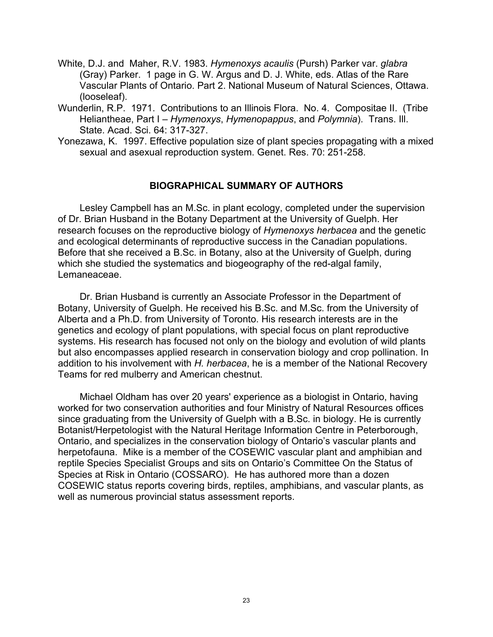- White, D.J. and Maher, R.V. 1983. *Hymenoxys acaulis* (Pursh) Parker var. *glabra* (Gray) Parker. 1 page in G. W. Argus and D. J. White, eds. Atlas of the Rare Vascular Plants of Ontario. Part 2. National Museum of Natural Sciences, Ottawa. (looseleaf).
- Wunderlin, R.P. 1971. Contributions to an Illinois Flora. No. 4. Compositae II. (Tribe Heliantheae, Part I – *Hymenoxys*, *Hymenopappus*, and *Polymnia*). Trans. Ill. State. Acad. Sci. 64: 317-327.
- Yonezawa, K. 1997. Effective population size of plant species propagating with a mixed sexual and asexual reproduction system. Genet. Res. 70: 251-258.

#### **BIOGRAPHICAL SUMMARY OF AUTHORS**

Lesley Campbell has an M.Sc. in plant ecology, completed under the supervision of Dr. Brian Husband in the Botany Department at the University of Guelph. Her research focuses on the reproductive biology of *Hymenoxys herbacea* and the genetic and ecological determinants of reproductive success in the Canadian populations. Before that she received a B.Sc. in Botany, also at the University of Guelph, during which she studied the systematics and biogeography of the red-algal family, Lemaneaceae.

Dr. Brian Husband is currently an Associate Professor in the Department of Botany, University of Guelph. He received his B.Sc. and M.Sc. from the University of Alberta and a Ph.D. from University of Toronto. His research interests are in the genetics and ecology of plant populations, with special focus on plant reproductive systems. His research has focused not only on the biology and evolution of wild plants but also encompasses applied research in conservation biology and crop pollination. In addition to his involvement with *H. herbacea*, he is a member of the National Recovery Teams for red mulberry and American chestnut.

Michael Oldham has over 20 years' experience as a biologist in Ontario, having worked for two conservation authorities and four Ministry of Natural Resources offices since graduating from the University of Guelph with a B.Sc. in biology. He is currently Botanist/Herpetologist with the Natural Heritage Information Centre in Peterborough, Ontario, and specializes in the conservation biology of Ontario's vascular plants and herpetofauna. Mike is a member of the COSEWIC vascular plant and amphibian and reptile Species Specialist Groups and sits on Ontario's Committee On the Status of Species at Risk in Ontario (COSSARO). He has authored more than a dozen COSEWIC status reports covering birds, reptiles, amphibians, and vascular plants, as well as numerous provincial status assessment reports.